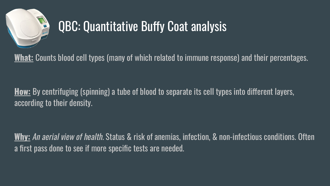

## QBC: Quantitative Buffy Coat analysis

**What:** Counts blood cell types (many of which related to immune response) and their percentages.

**How:** By centrifuging (spinning) a tube of blood to separate its cell types into different layers, according to their density.

**Why:** An aerial view of health. Status & risk of anemias, infection, & non-infectious conditions. Often a first pass done to see if more specific tests are needed.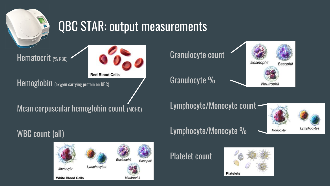

## QBC STAR: output measurements

Hematocrit (% RBC)



**Red Blood Cells** 

Hemoglobin (oxygen carrying protein on RBC)

Mean corpuscular hemoglobin count (MCHC)

Granulocyte count

Granulocyte %



Lymphocyte/Monocyte count



WBC count (all)



Lymphocyte/Monocyte %

Platelet count

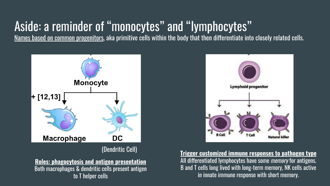## Aside: a reminder of "monocytes" and "lymphocytes"

Names based on common progenitors, aka primitive cells within the body that then differentiate into closely related cells.



#### (Dendritic Cell)

**Roles: phagocytosis and antigen presentation** Both macrophages & dendritic cells present antigen to T helper cells



**Trigger customized immune responses to pathogen type** All differentiated lymphocytes have some *memory* for antigens. B and T cells long lived with long-term memory, NK cells active in innate immune response with short memory.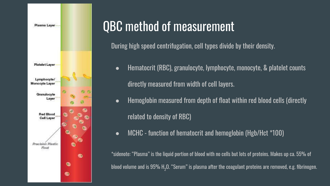

## QBC method of measurement

During high speed centrifugation, cell types divide by their density.

- Hematocrit (RBC), granulocyte, lymphocyte, monocyte, & platelet counts directly measured from width of cell layers.
- Hemoglobin measured from depth of float within red blood cells (directly related to density of RBC)
- MCHC function of hematocrit and hemoglobin (Hgb/Hct \*100)

\*sidenote: "Plasma" is the liquid portion of blood with no cells but lots of proteins. Makes up ca. 55% of blood volume and is 95% H $_{\rm 2}$ O. "Serum" is plasma after the coagulant proteins are removed, e.g. fibrinogen.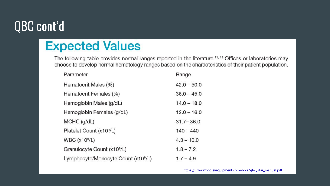## QBC cont'd

### **Expected Values**

The following table provides normal ranges reported in the literature.<sup>11, 13</sup> Offices or laboratories may choose to develop normal hematology ranges based on the characteristics of their patient population.

| Parameter                                       | Range         |
|-------------------------------------------------|---------------|
| Hematocrit Males (%)                            | $42.0 - 50.0$ |
| Hematocrit Females (%)                          | $36.0 - 45.0$ |
| Hemoglobin Males (g/dL)                         | $14.0 - 18.0$ |
| Hemoglobin Females (g/dL)                       | $12.0 - 16.0$ |
| $MCHC$ (g/dL)                                   | $31.7 - 36.0$ |
| Platelet Count (x10 <sup>9</sup> /L)            | $140 - 440$   |
| <b>WBC (x10<sup>9</sup>/L)</b>                  | $4.3 - 10.0$  |
| Granulocyte Count (x10 <sup>9</sup> /L)         | $1.8 - 7.2$   |
| Lymphocyte/Monocyte Count (x10 <sup>9</sup> /L) | $1.7 - 4.9$   |